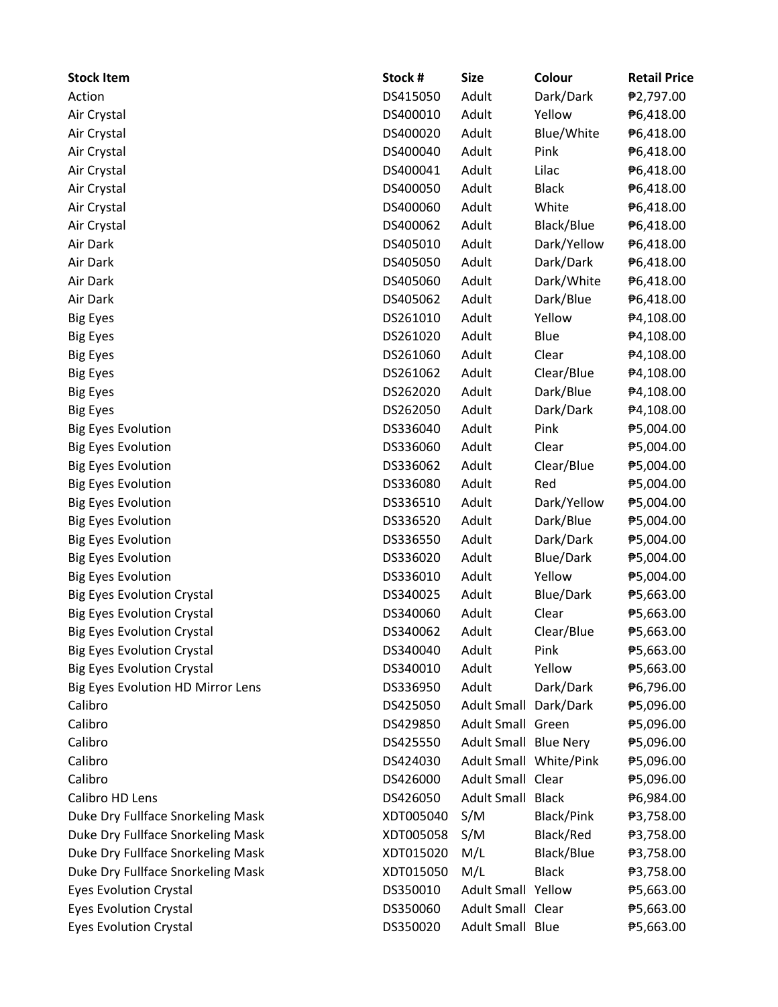| <b>Stock Item</b>                        | Stock #   | <b>Size</b>                  | Colour                 | <b>Retail Price</b> |
|------------------------------------------|-----------|------------------------------|------------------------|---------------------|
| Action                                   | DS415050  | Adult                        | Dark/Dark              | ₱2,797.00           |
| Air Crystal                              | DS400010  | Adult                        | Yellow                 | ₱6,418.00           |
| Air Crystal                              | DS400020  | Adult                        | Blue/White             | ₱6,418.00           |
| Air Crystal                              | DS400040  | Adult                        | Pink                   | ₱6,418.00           |
| Air Crystal                              | DS400041  | Adult                        | Lilac                  | ₱6,418.00           |
| Air Crystal                              | DS400050  | Adult                        | <b>Black</b>           | ₱6,418.00           |
| Air Crystal                              | DS400060  | Adult                        | White                  | ₱6,418.00           |
| Air Crystal                              | DS400062  | Adult                        | Black/Blue             | ₱6,418.00           |
| Air Dark                                 | DS405010  | Adult                        | Dark/Yellow            | ₱6,418.00           |
| Air Dark                                 | DS405050  | Adult                        | Dark/Dark              | ₱6,418.00           |
| Air Dark                                 | DS405060  | Adult                        | Dark/White             | ₱6,418.00           |
| Air Dark                                 | DS405062  | Adult                        | Dark/Blue              | ₱6,418.00           |
| <b>Big Eyes</b>                          | DS261010  | Adult                        | Yellow                 | ₱4,108.00           |
| <b>Big Eyes</b>                          | DS261020  | Adult                        | Blue                   | ₱4,108.00           |
| <b>Big Eyes</b>                          | DS261060  | Adult                        | Clear                  | ₱4,108.00           |
| <b>Big Eyes</b>                          | DS261062  | Adult                        | Clear/Blue             | ₱4,108.00           |
| <b>Big Eyes</b>                          | DS262020  | Adult                        | Dark/Blue              | ₱4,108.00           |
| <b>Big Eyes</b>                          | DS262050  | Adult                        | Dark/Dark              | ₱4,108.00           |
| <b>Big Eyes Evolution</b>                | DS336040  | Adult                        | Pink                   | ₱5,004.00           |
| <b>Big Eyes Evolution</b>                | DS336060  | Adult                        | Clear                  | ₱5,004.00           |
| <b>Big Eyes Evolution</b>                | DS336062  | Adult                        | Clear/Blue             | ₱5,004.00           |
| <b>Big Eyes Evolution</b>                | DS336080  | Adult                        | Red                    | ₱5,004.00           |
| <b>Big Eyes Evolution</b>                | DS336510  | Adult                        | Dark/Yellow            | ₱5,004.00           |
| <b>Big Eyes Evolution</b>                | DS336520  | Adult                        | Dark/Blue              | ₱5,004.00           |
| <b>Big Eyes Evolution</b>                | DS336550  | Adult                        | Dark/Dark              | ₱5,004.00           |
| <b>Big Eyes Evolution</b>                | DS336020  | Adult                        | <b>Blue/Dark</b>       | ₱5,004.00           |
| <b>Big Eyes Evolution</b>                | DS336010  | Adult                        | Yellow                 | ₱5,004.00           |
| <b>Big Eyes Evolution Crystal</b>        | DS340025  | Adult                        | <b>Blue/Dark</b>       | ₱5,663.00           |
| <b>Big Eyes Evolution Crystal</b>        | DS340060  | Adult                        | Clear                  | ₱5,663.00           |
| <b>Big Eyes Evolution Crystal</b>        | DS340062  | Adult                        | Clear/Blue             | ₱5,663.00           |
| <b>Big Eyes Evolution Crystal</b>        | DS340040  | Adult                        | Pink                   | ₱5,663.00           |
| <b>Big Eyes Evolution Crystal</b>        | DS340010  | Adult                        | Yellow                 | ₱5,663.00           |
| <b>Big Eyes Evolution HD Mirror Lens</b> | DS336950  | Adult                        | Dark/Dark              | ₱6,796.00           |
| Calibro                                  | DS425050  | <b>Adult Small</b>           | Dark/Dark              | ₱5,096.00           |
| Calibro                                  | DS429850  | Adult Small Green            |                        | ₱5,096.00           |
| Calibro                                  | DS425550  | <b>Adult Small Blue Nery</b> |                        | ₱5,096.00           |
| Calibro                                  | DS424030  |                              | Adult Small White/Pink | ₱5,096.00           |
| Calibro                                  | DS426000  | Adult Small Clear            |                        | ₱5,096.00           |
| Calibro HD Lens                          | DS426050  | <b>Adult Small</b>           | <b>Black</b>           | ₱6,984.00           |
| Duke Dry Fullface Snorkeling Mask        | XDT005040 | S/M                          | Black/Pink             | ₱3,758.00           |
| Duke Dry Fullface Snorkeling Mask        | XDT005058 | S/M                          | Black/Red              | ₱3,758.00           |
| Duke Dry Fullface Snorkeling Mask        | XDT015020 | M/L                          | Black/Blue             | ₱3,758.00           |
| Duke Dry Fullface Snorkeling Mask        | XDT015050 | M/L                          | <b>Black</b>           | ₱3,758.00           |
| <b>Eyes Evolution Crystal</b>            | DS350010  | <b>Adult Small Yellow</b>    |                        | ₱5,663.00           |
| <b>Eyes Evolution Crystal</b>            | DS350060  | Adult Small Clear            |                        | ₱5,663.00           |
| <b>Eyes Evolution Crystal</b>            | DS350020  | Adult Small Blue             |                        | ₱5,663.00           |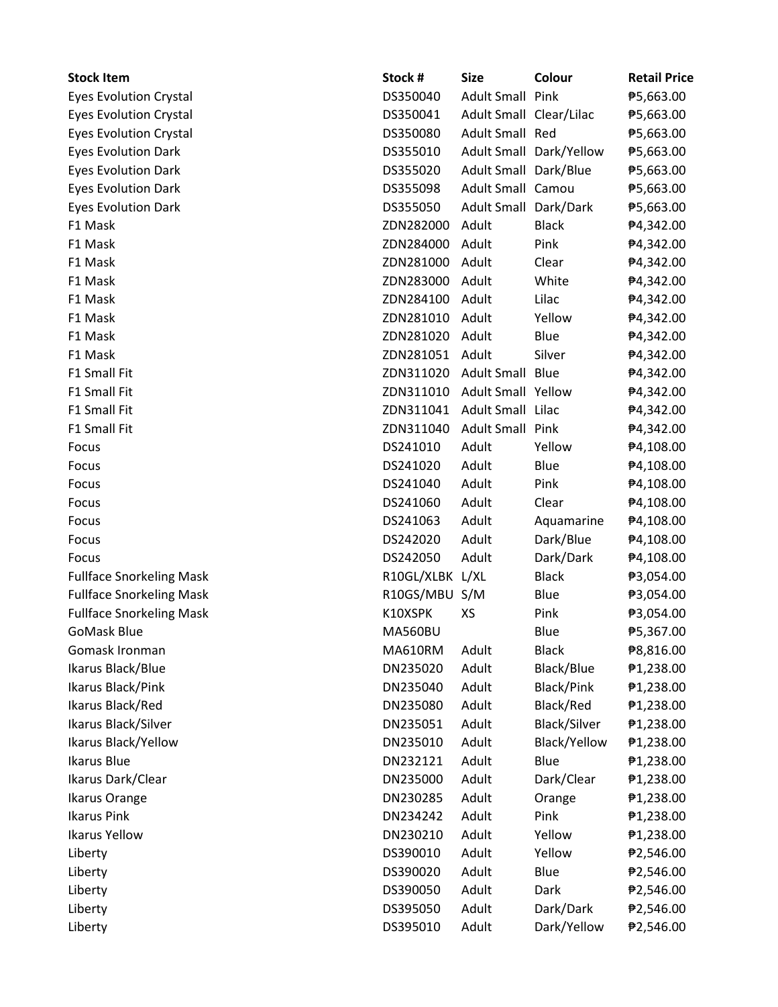| <b>Stock Item</b>               | Stock #         | <b>Size</b>               | Colour                  | <b>Retail Price</b> |
|---------------------------------|-----------------|---------------------------|-------------------------|---------------------|
| <b>Eyes Evolution Crystal</b>   | DS350040        | <b>Adult Small Pink</b>   |                         | ₱5,663.00           |
| <b>Eyes Evolution Crystal</b>   | DS350041        | Adult Small Clear/Lilac   |                         | ₱5,663.00           |
| <b>Eyes Evolution Crystal</b>   | DS350080        | Adult Small Red           |                         | ₱5,663.00           |
| <b>Eyes Evolution Dark</b>      | DS355010        |                           | Adult Small Dark/Yellow | ₱5,663.00           |
| <b>Eyes Evolution Dark</b>      | DS355020        | Adult Small Dark/Blue     |                         | ₱5,663.00           |
| <b>Eyes Evolution Dark</b>      | DS355098        | Adult Small Camou         |                         | ₱5,663.00           |
| <b>Eyes Evolution Dark</b>      | DS355050        | Adult Small Dark/Dark     |                         | ₱5,663.00           |
| F1 Mask                         | ZDN282000       | Adult                     | <b>Black</b>            | ₱4,342.00           |
| F1 Mask                         | ZDN284000       | Adult                     | Pink                    | ₱4,342.00           |
| F1 Mask                         | ZDN281000       | Adult                     | Clear                   | ₱4,342.00           |
| F1 Mask                         | ZDN283000       | Adult                     | White                   | ₱4,342.00           |
| F1 Mask                         | ZDN284100       | Adult                     | Lilac                   | ₱4,342.00           |
| F1 Mask                         | ZDN281010       | Adult                     | Yellow                  | ₱4,342.00           |
| F1 Mask                         | ZDN281020       | Adult                     | Blue                    | ₱4,342.00           |
| F1 Mask                         | ZDN281051       | Adult                     | Silver                  | ₱4,342.00           |
| F1 Small Fit                    | ZDN311020       | Adult Small Blue          |                         | ₱4,342.00           |
| F1 Small Fit                    | ZDN311010       | <b>Adult Small Yellow</b> |                         | ₱4,342.00           |
| F1 Small Fit                    | ZDN311041       | Adult Small Lilac         |                         | ₱4,342.00           |
| F1 Small Fit                    | ZDN311040       | <b>Adult Small Pink</b>   |                         | ₱4,342.00           |
| Focus                           | DS241010        | Adult                     | Yellow                  | ₱4,108.00           |
| Focus                           | DS241020        | Adult                     | Blue                    | ₱4,108.00           |
| Focus                           | DS241040        | Adult                     | Pink                    | ₱4,108.00           |
| Focus                           | DS241060        | Adult                     | Clear                   | ₱4,108.00           |
| Focus                           | DS241063        | Adult                     | Aquamarine              | ₱4,108.00           |
| Focus                           | DS242020        | Adult                     | Dark/Blue               | ₱4,108.00           |
| Focus                           | DS242050        | Adult                     | Dark/Dark               | ₱4,108.00           |
| <b>Fullface Snorkeling Mask</b> | R10GL/XLBK L/XL |                           | <b>Black</b>            | ₱3,054.00           |
| <b>Fullface Snorkeling Mask</b> | R10GS/MBU S/M   |                           | Blue                    | ₱3,054.00           |
| <b>Fullface Snorkeling Mask</b> | K10XSPK         | XS                        | Pink                    | ₱3,054.00           |
| <b>GoMask Blue</b>              | <b>MA560BU</b>  |                           | Blue                    | ₱5,367.00           |
| Gomask Ironman                  | MA610RM         | Adult                     | <b>Black</b>            | ₱8,816.00           |
| Ikarus Black/Blue               | DN235020        | Adult                     | Black/Blue              | ₱1,238.00           |
| Ikarus Black/Pink               | DN235040        | Adult                     | <b>Black/Pink</b>       | ₱1,238.00           |
| Ikarus Black/Red                | DN235080        | Adult                     | Black/Red               | ₱1,238.00           |
| Ikarus Black/Silver             | DN235051        | Adult                     | Black/Silver            | ₱1,238.00           |
| Ikarus Black/Yellow             | DN235010        | Adult                     | Black/Yellow            | ₱1,238.00           |
| Ikarus Blue                     | DN232121        | Adult                     | Blue                    | ₱1,238.00           |
| Ikarus Dark/Clear               | DN235000        | Adult                     | Dark/Clear              | ₱1,238.00           |
| Ikarus Orange                   | DN230285        | Adult                     | Orange                  | ₱1,238.00           |
| <b>Ikarus Pink</b>              | DN234242        | Adult                     | Pink                    | ₱1,238.00           |
| <b>Ikarus Yellow</b>            | DN230210        | Adult                     | Yellow                  | ₱1,238.00           |
| Liberty                         | DS390010        | Adult                     | Yellow                  | ₱2,546.00           |
| Liberty                         | DS390020        | Adult                     | Blue                    | ₱2,546.00           |
| Liberty                         | DS390050        | Adult                     | Dark                    | ₱2,546.00           |
| Liberty                         | DS395050        | Adult                     | Dark/Dark               | ₱2,546.00           |
| Liberty                         | DS395010        | Adult                     | Dark/Yellow             | ₱2,546.00           |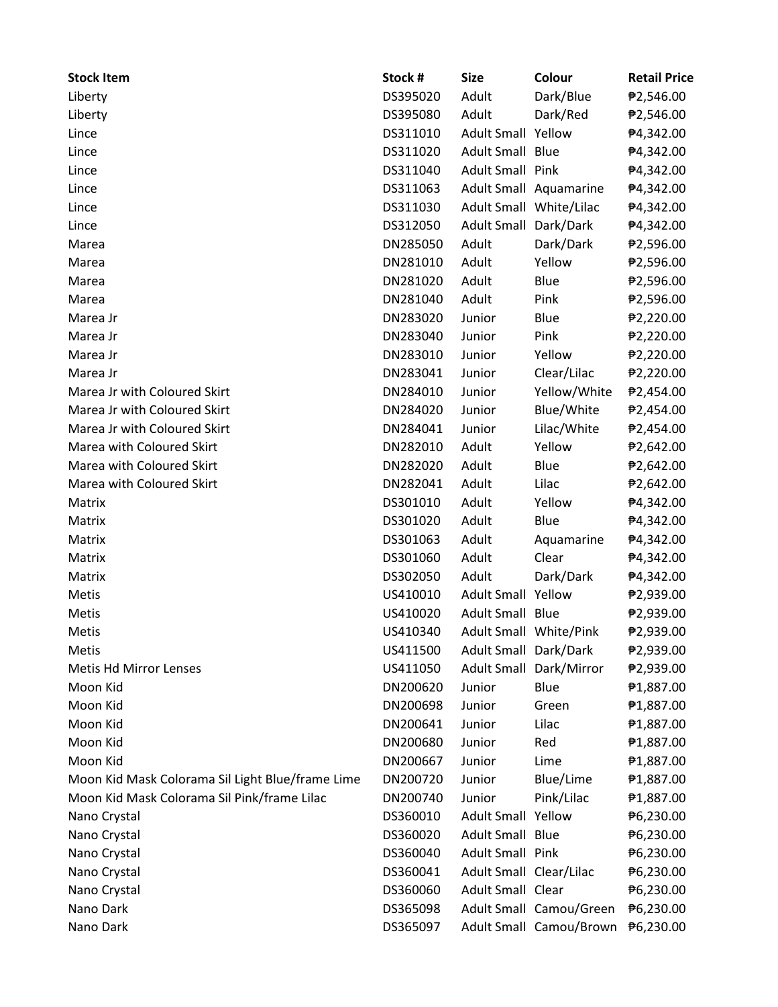| <b>Stock Item</b>                                | Stock #  | <b>Size</b>               | Colour                  | <b>Retail Price</b> |
|--------------------------------------------------|----------|---------------------------|-------------------------|---------------------|
| Liberty                                          | DS395020 | Adult                     | Dark/Blue               | ₱2,546.00           |
| Liberty                                          | DS395080 | Adult                     | Dark/Red                | ₱2,546.00           |
| Lince                                            | DS311010 | <b>Adult Small Yellow</b> |                         | ₱4,342.00           |
| Lince                                            | DS311020 | <b>Adult Small Blue</b>   |                         | ₱4,342.00           |
| Lince                                            | DS311040 | Adult Small Pink          |                         | ₱4,342.00           |
| Lince                                            | DS311063 |                           | Adult Small Aquamarine  | ₱4,342.00           |
| Lince                                            | DS311030 |                           | Adult Small White/Lilac | ₱4,342.00           |
| Lince                                            | DS312050 | Adult Small Dark/Dark     |                         | ₱4,342.00           |
| Marea                                            | DN285050 | Adult                     | Dark/Dark               | ₱2,596.00           |
| Marea                                            | DN281010 | Adult                     | Yellow                  | ₱2,596.00           |
| Marea                                            | DN281020 | Adult                     | Blue                    | ₱2,596.00           |
| Marea                                            | DN281040 | Adult                     | Pink                    | ₱2,596.00           |
| Marea Jr                                         | DN283020 | Junior                    | Blue                    | ₱2,220.00           |
| Marea Jr                                         | DN283040 | Junior                    | Pink                    | ₱2,220.00           |
| Marea Jr                                         | DN283010 | Junior                    | Yellow                  | ₱2,220.00           |
| Marea Jr                                         | DN283041 | Junior                    | Clear/Lilac             | ₱2,220.00           |
| Marea Jr with Coloured Skirt                     | DN284010 | Junior                    | Yellow/White            | ₱2,454.00           |
| Marea Jr with Coloured Skirt                     | DN284020 | Junior                    | Blue/White              | ₱2,454.00           |
| Marea Jr with Coloured Skirt                     | DN284041 | Junior                    | Lilac/White             | ₱2,454.00           |
| Marea with Coloured Skirt                        | DN282010 | Adult                     | Yellow                  | ₱2,642.00           |
| Marea with Coloured Skirt                        | DN282020 | Adult                     | Blue                    | ₱2,642.00           |
| Marea with Coloured Skirt                        | DN282041 | Adult                     | Lilac                   | ₱2,642.00           |
| Matrix                                           | DS301010 | Adult                     | Yellow                  | ₱4,342.00           |
| Matrix                                           | DS301020 | Adult                     | Blue                    | ₱4,342.00           |
| Matrix                                           | DS301063 | Adult                     | Aquamarine              | ₱4,342.00           |
| Matrix                                           | DS301060 | Adult                     | Clear                   | ₱4,342.00           |
| Matrix                                           | DS302050 | Adult                     | Dark/Dark               | ₱4,342.00           |
| Metis                                            | US410010 | <b>Adult Small Yellow</b> |                         | ₱2,939.00           |
| Metis                                            | US410020 | Adult Small Blue          |                         | ₱2,939.00           |
| Metis                                            | US410340 | Adult Small White/Pink    |                         | ₱2,939.00           |
| <b>Metis</b>                                     | US411500 | Adult Small Dark/Dark     |                         | ₱2,939.00           |
| Metis Hd Mirror Lenses                           | US411050 | <b>Adult Small</b>        | Dark/Mirror             | ₱2,939.00           |
| Moon Kid                                         | DN200620 | Junior                    | Blue                    | ₱1,887.00           |
| Moon Kid                                         | DN200698 | Junior                    | Green                   | ₱1,887.00           |
| Moon Kid                                         | DN200641 | Junior                    | Lilac                   | ₱1,887.00           |
| Moon Kid                                         | DN200680 | Junior                    | Red                     | ₱1,887.00           |
| Moon Kid                                         | DN200667 | Junior                    | Lime                    | ₱1,887.00           |
| Moon Kid Mask Colorama Sil Light Blue/frame Lime | DN200720 | Junior                    | Blue/Lime               | ₱1,887.00           |
| Moon Kid Mask Colorama Sil Pink/frame Lilac      | DN200740 | Junior                    | Pink/Lilac              | ₱1,887.00           |
| Nano Crystal                                     | DS360010 | <b>Adult Small Yellow</b> |                         | ₱6,230.00           |
| Nano Crystal                                     | DS360020 | <b>Adult Small Blue</b>   |                         | ₱6,230.00           |
| Nano Crystal                                     | DS360040 | Adult Small Pink          |                         | ₱6,230.00           |
| Nano Crystal                                     | DS360041 | Adult Small Clear/Lilac   |                         | ₱6,230.00           |
| Nano Crystal                                     | DS360060 | Adult Small Clear         |                         | ₱6,230.00           |
| Nano Dark                                        | DS365098 |                           | Adult Small Camou/Green | ₱6,230.00           |
| Nano Dark                                        | DS365097 |                           | Adult Small Camou/Brown | ₱6,230.00           |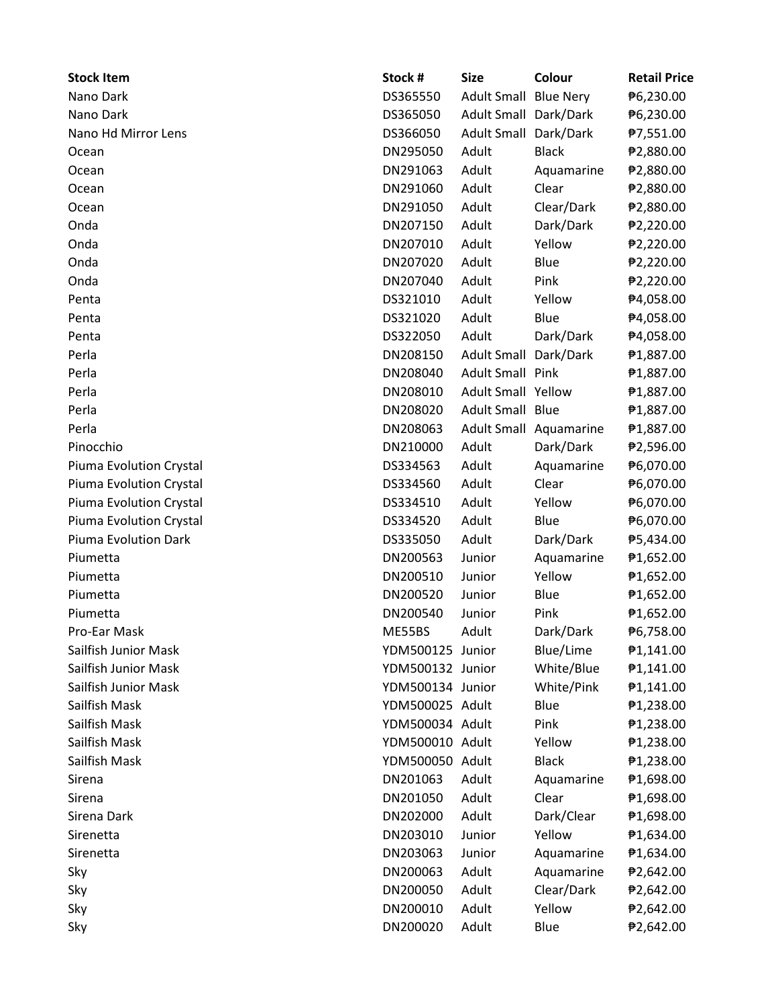| <b>Stock Item</b>       | Stock #          | <b>Size</b>               | Colour                 | <b>Retail Price</b> |
|-------------------------|------------------|---------------------------|------------------------|---------------------|
| Nano Dark               | DS365550         | <b>Adult Small</b>        | <b>Blue Nery</b>       | ₱6,230.00           |
| Nano Dark               | DS365050         | Adult Small Dark/Dark     |                        | ₱6,230.00           |
| Nano Hd Mirror Lens     | DS366050         | <b>Adult Small</b>        | Dark/Dark              | ₱7,551.00           |
| Ocean                   | DN295050         | Adult                     | <b>Black</b>           | ₱2,880.00           |
| Ocean                   | DN291063         | Adult                     | Aquamarine             | ₱2,880.00           |
| Ocean                   | DN291060         | Adult                     | Clear                  | ₱2,880.00           |
| Ocean                   | DN291050         | Adult                     | Clear/Dark             | ₱2,880.00           |
| Onda                    | DN207150         | Adult                     | Dark/Dark              | ₱2,220.00           |
| Onda                    | DN207010         | Adult                     | Yellow                 | ₱2,220.00           |
| Onda                    | DN207020         | Adult                     | Blue                   | ₱2,220.00           |
| Onda                    | DN207040         | Adult                     | Pink                   | ₱2,220.00           |
| Penta                   | DS321010         | Adult                     | Yellow                 | ₱4,058.00           |
| Penta                   | DS321020         | Adult                     | Blue                   | ₱4,058.00           |
| Penta                   | DS322050         | Adult                     | Dark/Dark              | ₱4,058.00           |
| Perla                   | DN208150         | Adult Small               | Dark/Dark              | ₱1,887.00           |
| Perla                   | DN208040         | <b>Adult Small Pink</b>   |                        | ₱1,887.00           |
| Perla                   | DN208010         | <b>Adult Small Yellow</b> |                        | ₱1,887.00           |
| Perla                   | DN208020         | Adult Small Blue          |                        | ₱1,887.00           |
| Perla                   | DN208063         |                           | Adult Small Aquamarine | ₱1,887.00           |
| Pinocchio               | DN210000         | Adult                     | Dark/Dark              | ₱2,596.00           |
| Piuma Evolution Crystal | DS334563         | Adult                     | Aquamarine             | ₱6,070.00           |
| Piuma Evolution Crystal | DS334560         | Adult                     | Clear                  | ₱6,070.00           |
| Piuma Evolution Crystal | DS334510         | Adult                     | Yellow                 | ₱6,070.00           |
| Piuma Evolution Crystal | DS334520         | Adult                     | Blue                   | ₱6,070.00           |
| Piuma Evolution Dark    | DS335050         | Adult                     | Dark/Dark              | ₱5,434.00           |
| Piumetta                | DN200563         | Junior                    | Aquamarine             | ₱1,652.00           |
| Piumetta                | DN200510         | Junior                    | Yellow                 | ₱1,652.00           |
| Piumetta                | DN200520         | Junior                    | Blue                   | ₱1,652.00           |
| Piumetta                | DN200540         | Junior                    | Pink                   | ₱1,652.00           |
| Pro-Ear Mask            | ME55BS           | Adult                     | Dark/Dark              | ₱6,758.00           |
| Sailfish Junior Mask    | YDM500125 Junior |                           | Blue/Lime              | ₱1,141.00           |
| Sailfish Junior Mask    | YDM500132 Junior |                           | White/Blue             | €1,141.00           |
| Sailfish Junior Mask    | YDM500134 Junior |                           | White/Pink             | #1,141.00           |
| Sailfish Mask           | YDM500025 Adult  |                           | Blue                   | ₱1,238.00           |
| Sailfish Mask           | YDM500034 Adult  |                           | Pink                   | ₱1,238.00           |
| Sailfish Mask           | YDM500010 Adult  |                           | Yellow                 | ₱1,238.00           |
| Sailfish Mask           | YDM500050 Adult  |                           | <b>Black</b>           | ₱1,238.00           |
| Sirena                  | DN201063         | Adult                     | Aquamarine             | ₱1,698.00           |
| Sirena                  | DN201050         | Adult                     | Clear                  | ₱1,698.00           |
| Sirena Dark             | DN202000         | Adult                     | Dark/Clear             | ₱1,698.00           |
| Sirenetta               | DN203010         | Junior                    | Yellow                 | ₱1,634.00           |
| Sirenetta               | DN203063         | Junior                    | Aquamarine             | ₱1,634.00           |
| Sky                     | DN200063         | Adult                     | Aquamarine             | ₱2,642.00           |
| Sky                     | DN200050         | Adult                     | Clear/Dark             | ₱2,642.00           |
| Sky                     | DN200010         | Adult                     | Yellow                 | ₱2,642.00           |
| Sky                     | DN200020         | Adult                     | Blue                   | ₱2,642.00           |